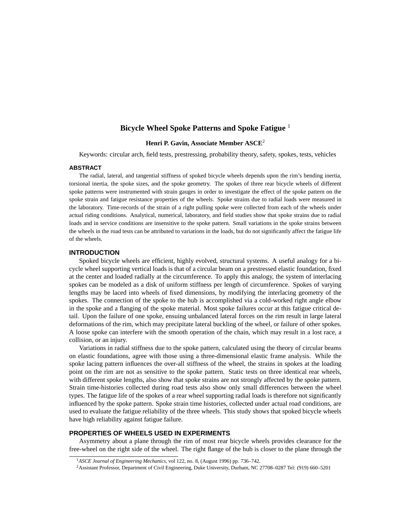# **Bicycle Wheel Spoke Patterns and Spoke Fatigue** <sup>1</sup>

### **Henri P. Gavin, Associate Member ASCE**<sup>2</sup>

Keywords: circular arch, field tests, prestressing, probability theory, safety, spokes, tests, vehicles

#### **ABSTRACT**

The radial, lateral, and tangential stiffness of spoked bicycle wheels depends upon the rim's bending inertia, torsional inertia, the spoke sizes, and the spoke geometry. The spokes of three rear bicycle wheels of different spoke patterns were instrumented with strain gauges in order to investigate the effect of the spoke pattern on the spoke strain and fatigue resistance properties of the wheels. Spoke strains due to radial loads were measured in the laboratory. Time-records of the strain of a right pulling spoke were collected from each of the wheels under actual riding conditions. Analytical, numerical, laboratory, and field studies show that spoke strains due to radial loads and in service conditions are insensitive to the spoke pattern. Small variations in the spoke strains between the wheels in the road tests can be attributed to variations in the loads, but do not significantly affect the fatigue life of the wheels.

#### **INTRODUCTION**

Spoked bicycle wheels are efficient, highly evolved, structural systems. A useful analogy for a bicycle wheel supporting vertical loads is that of a circular beam on a prestressed elastic foundation, fixed at the center and loaded radially at the circumference. To apply this analogy, the system of interlacing spokes can be modeled as a disk of uniform stiffness per length of circumference. Spokes of varying lengths may be laced into wheels of fixed dimensions, by modifying the interlacing geometry of the spokes. The connection of the spoke to the hub is accomplished via a cold-worked right angle elbow in the spoke and a flanging of the spoke material. Most spoke failures occur at this fatigue critical detail. Upon the failure of one spoke, ensuing unbalanced lateral forces on the rim result in large lateral deformations of the rim, which may precipitate lateral buckling of the wheel, or failure of other spokes. A loose spoke can interfere with the smooth operation of the chain, which may result in a lost race, a collision, or an injury.

Variations in radial stiffness due to the spoke pattern, calculated using the theory of circular beams on elastic foundations, agree with those using a three-dimensional elastic frame analysis. While the spoke lacing pattern influences the over-all stiffness of the wheel, the strains in spokes at the loading point on the rim are not as sensitive to the spoke pattern. Static tests on three identical rear wheels, with different spoke lengths, also show that spoke strains are not strongly affected by the spoke pattern. Strain time-histories collected during road tests also show only small differences between the wheel types. The fatigue life of the spokes of a rear wheel supporting radial loads is therefore not significantly influenced by the spoke pattern. Spoke strain time histories, collected under actual road conditions, are used to evaluate the fatigue reliability of the three wheels. This study shows that spoked bicycle wheels have high reliability against fatigue failure.

### **PROPERTIES OF WHEELS USED IN EXPERIMENTS**

Asymmetry about a plane through the rim of most rear bicycle wheels provides clearance for the free-wheel on the right side of the wheel. The right flange of the hub is closer to the plane through the

<sup>1</sup>*ASCE Journal of Engineering Mechanics*, vol 122, no. 8, (August 1996) pp. 736–742.

<sup>2</sup>Assistant Professor, Department of Civil Engineering, Duke University, Durham, NC 27708–0287 Tel: (919) 660–5201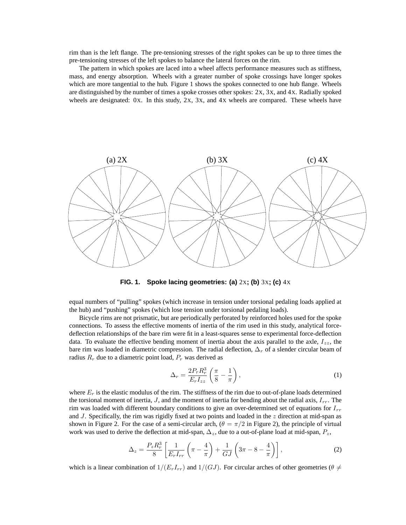rim than is the left flange. The pre-tensioning stresses of the right spokes can be up to three times the pre-tensioning stresses of the left spokes to balance the lateral forces on the rim.

The pattern in which spokes are laced into a wheel affects performance measures such as stiffness, mass, and energy absorption. Wheels with a greater number of spoke crossings have longer spokes which are more tangential to the hub. Figure 1 shows the spokes connected to one hub flange. Wheels are distinguished by the number of times a spoke crosses other spokes: 2X, 3X, and 4X. Radially spoked wheels are designated: 0x. In this study, 2x, 3x, and 4x wheels are compared. These wheels have



**FIG. 1. Spoke lacing geometries: (a)** 2X**; (b)** 3X**; (c)** 4X

equal numbers of "pulling" spokes (which increase in tension under torsional pedaling loads applied at the hub) and "pushing" spokes (which lose tension under torsional pedaling loads).

Bicycle rims are not prismatic, but are periodically perforated by reinforced holes used for the spoke connections. To assess the effective moments of inertia of the rim used in this study, analytical forcedeflection relationships of the bare rim were fit in a least-squares sense to experimental force-deflection data. To evaluate the effective bending moment of inertia about the axis parallel to the axle,  $I_{zz}$ , the bare rim was loaded in diametric compression. The radial deflection,  $\Delta_r$  of a slender circular beam of radius  $R_r$  due to a diametric point load,  $P_r$  was derived as

$$
\Delta_r = \frac{2P_r R_r^3}{E_r I_{zz}} \left(\frac{\pi}{8} - \frac{1}{\pi}\right),\tag{1}
$$

where  $E_r$  is the elastic modulus of the rim. The stiffness of the rim due to out-of-plane loads determined the torsional moment of inertia, J, and the moment of inertia for bending about the radial axis,  $I_{rr}$ . The rim was loaded with different boundary conditions to give an over-determined set of equations for  $I_{rr}$ and J. Specifically, the rim was rigidly fixed at two points and loaded in the  $z$  direction at mid-span as shown in Figure 2. For the case of a semi-circular arch,  $(\theta = \pi/2$  in Figure 2), the principle of virtual work was used to derive the deflection at mid-span,  $\Delta_z$ , due to a out-of-plane load at mid-span,  $P_z$ ,

$$
\Delta_z = \frac{P_z R_r^3}{8} \left[ \frac{1}{E_r I_{rr}} \left( \pi - \frac{4}{\pi} \right) + \frac{1}{GJ} \left( 3\pi - 8 - \frac{4}{\pi} \right) \right],\tag{2}
$$

which is a linear combination of  $1/(E_rI_{rr})$  and  $1/(GJ)$ . For circular arches of other geometries ( $\theta \neq$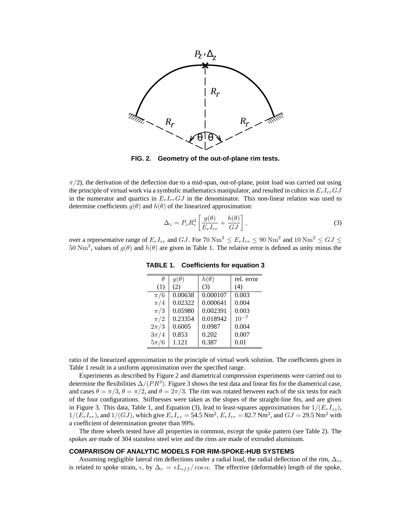

**FIG. 2. Geometry of the out-of-plane rim tests.**

 $\pi/2$ ), the derivation of the deflection due to a mid-span, out-of-plane, point load was carried out using the principle of virtual work via a symbolic mathematics manipulator, and resulted in cubics in  $E_r I_{rr} GJ$ in the numerator and quartics in  $E_rI_{rr}GJ$  in the denominator. This non-linear relation was used to determine coefficients  $g(\theta)$  and  $h(\theta)$  of the linearized approximation:

$$
\Delta_z = P_z R_r^3 \left[ \frac{g(\theta)}{E_r I_{rr}} + \frac{h(\theta)}{GJ} \right],\tag{3}
$$

over a representative range of  $E_r I_{rr}$  and  $GJ$ . For 70  $\text{Nm}^2 \le E_r I_{rr} \le 90$   $\text{Nm}^2$  and 10  $\text{Nm}^2 \le GJ \le$ 50 Nm<sup>2</sup>, values of  $g(\theta)$  and  $h(\theta)$  are given in Table 1. The relative error is defined as unity minus the

|          | $g(\theta)$ | $h(\theta)$ | rel. error |
|----------|-------------|-------------|------------|
| (1)      | (2)         | (3)         | (4)        |
| $\pi/6$  | 0.00638     | 0.000107    | 0.003      |
| $\pi/4$  | 0.02322     | 0.000641    | 0.004      |
| $\pi/3$  | 0.05980     | 0.002391    | 0.003      |
| $\pi/2$  | 0.23354     | 0.018942    | $10^{-7}$  |
| $2\pi/3$ | 0.6005      | 0.0987      | 0.004      |
| $3\pi/4$ | 0.853       | 0.202       | 0.007      |
| $5\pi/6$ | 1.121       | 0.387       | 0.01       |

**TABLE 1. Coefficients for equation 3**

ratio of the linearized approximation to the principle of virtual work solution. The coefficients given in Table 1 result in a uniform approximation over the specified range.

Experiments as described by Figure 2 and diametrical compression experiments were carried out to determine the flexibilities  $\Delta/(PR^3)$ . Figure 3 shows the test data and linear fits for the diametrical case, and cases  $\theta = \pi/3$ ,  $\theta = \pi/2$ , and  $\theta = 2\pi/3$ . The rim was rotated between each of the six tests for each of the four configurations. Stiffnesses were taken as the slopes of the straight-line fits, and are given in Figure 3. This data, Table 1, and Equation (3), lead to least-squares approximations for  $1/(E_rI_{zz})$ ,  $1/(E_r I_{rr})$ , and  $1/(GJ)$ , which give  $E_r I_{zz} = 54.5$  Nm<sup>2</sup>,  $E_r I_{rr} = 82.7$  Nm<sup>2</sup>, and  $GJ = 29.5$  Nm<sup>2</sup> with a coefficient of determination greater than 99%.

The three wheels tested have all properties in common, except the spoke pattern (see Table 2). The spokes are made of 304 stainless steel wire and the rims are made of extruded aluminum.

#### **COMPARISON OF ANALYTIC MODELS FOR RIM-SPOKE-HUB SYSTEMS**

Assuming negligible lateral rim deflections under a radial load, the radial deflection of the rim,  $\Delta_r$ , is related to spoke strain,  $\epsilon$ , by  $\Delta_r = \epsilon L_{eff} / \cos \alpha$ . The effective (deformable) length of the spoke,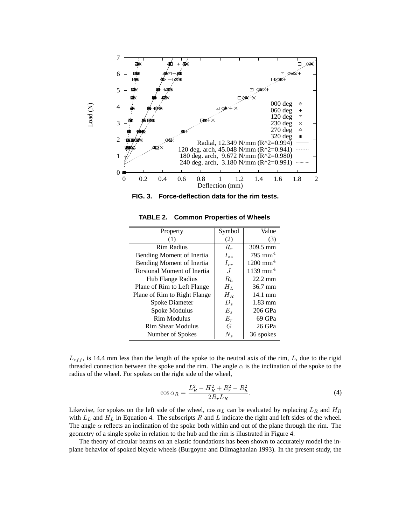

Load (N)



| Property                           | Symbol   | Value               |
|------------------------------------|----------|---------------------|
| (1)                                | (2)      | (3)                 |
| <b>Rim Radius</b>                  | $R_r$    | 309.5 mm            |
| Bending Moment of Inertia          | $I_{zz}$ | $795 \text{ mm}^4$  |
| Bending Moment of Inertia          | $I_{rr}$ | $1200 \text{ mm}^4$ |
| <b>Torsional Moment of Inertia</b> | $\cdot$  | $1139 \text{ mm}^4$ |
| Hub Flange Radius                  | $R_h$    | $22.2 \text{ mm}$   |
| Plane of Rim to Left Flange        | $H_L$    | $36.7 \text{ mm}$   |
| Plane of Rim to Right Flange       | $H_R$    | $14.1 \text{ mm}$   |
| <b>Spoke Diameter</b>              | $D_s$    | $1.83$ mm           |
| Spoke Modulus                      | $E_s$    | 206 GPa             |
| Rim Modulus                        | $E_r$    | 69 GPa              |
| <b>Rim Shear Modulus</b>           | G        | 26 GPa              |
| Number of Spokes                   | $N_{s}$  | 36 spokes           |

**TABLE 2. Common Properties of Wheels**

 $L_{eff}$ , is 14.4 mm less than the length of the spoke to the neutral axis of the rim, L, due to the rigid threaded connection between the spoke and the rim. The angle  $\alpha$  is the inclination of the spoke to the radius of the wheel. For spokes on the right side of the wheel,

$$
\cos \alpha_R = \frac{L_R^2 - H_R^2 + R_r^2 - R_h^2}{2R_r L_R}.
$$
\n(4)

Likewise, for spokes on the left side of the wheel,  $\cos \alpha_L$  can be evaluated by replacing  $L_R$  and  $H_R$ with  $L<sub>L</sub>$  and  $H<sub>L</sub>$  in Equation 4. The subscripts R and L indicate the right and left sides of the wheel. The angle  $\alpha$  reflects an inclination of the spoke both within and out of the plane through the rim. The geometry of a single spoke in relation to the hub and the rim is illustrated in Figure 4.

The theory of circular beams on an elastic foundations has been shown to accurately model the inplane behavior of spoked bicycle wheels (Burgoyne and Dilmaghanian 1993). In the present study, the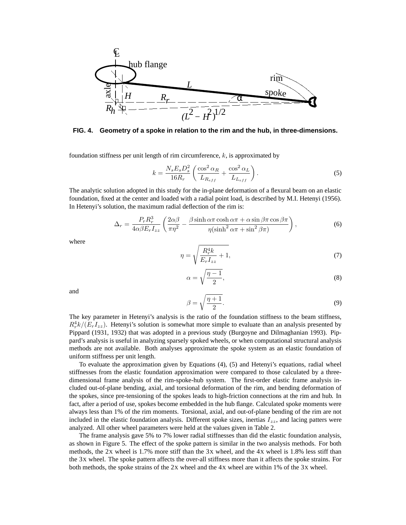

**FIG. 4. Geometry of a spoke in relation to the rim and the hub, in three-dimensions.**

foundation stiffness per unit length of rim circumference,  $k$ , is approximated by

$$
k = \frac{N_s E_s D_s^2}{16R_r} \left( \frac{\cos^2 \alpha_R}{L_{R_{eff}}} + \frac{\cos^2 \alpha_L}{L_{L_{eff}}} \right).
$$
 (5)

The analytic solution adopted in this study for the in-plane deformation of a flexural beam on an elastic foundation, fixed at the center and loaded with a radial point load, is described by M.I. Hetenyi (1956). In Hetenyi's solution, the maximum radial deflection of the rim is:

$$
\Delta_r = \frac{P_r R_r^3}{4\alpha\beta E_r I_{zz}} \left( \frac{2\alpha\beta}{\pi\eta^2} - \frac{\beta \sinh \alpha\pi \cosh \alpha\pi + \alpha \sin \beta\pi \cos \beta\pi}{\eta (\sinh^2 \alpha\pi + \sin^2 \beta\pi)} \right),\tag{6}
$$

where

$$
\eta = \sqrt{\frac{R_r^4 k}{E_r I_{zz}} + 1},\tag{7}
$$

$$
\alpha = \sqrt{\frac{\eta - 1}{2}},\tag{8}
$$

and

$$
\beta = \sqrt{\frac{\eta + 1}{2}}.\tag{9}
$$

The key parameter in Hetenyi's analysis is the ratio of the foundation stiffness to the beam stiffness,  $R_r^4k/(E_rI_{zz})$ . Hetenyi's solution is somewhat more simple to evaluate than an analysis presented by Pippard (1931, 1932) that was adopted in a previous study (Burgoyne and Dilmaghanian 1993). Pippard's analysis is useful in analyzing sparsely spoked wheels, or when computational structural analysis methods are not available. Both analyses approximate the spoke system as an elastic foundation of uniform stiffness per unit length.

To evaluate the approximation given by Equations (4), (5) and Hetenyi's equations, radial wheel stiffnesses from the elastic foundation approximation were compared to those calculated by a threedimensional frame analysis of the rim-spoke-hub system. The first-order elastic frame analysis included out-of-plane bending, axial, and torsional deformation of the rim, and bending deformation of the spokes, since pre-tensioning of the spokes leads to high-friction connections at the rim and hub. In fact, after a period of use, spokes become embedded in the hub flange. Calculated spoke moments were always less than 1% of the rim moments. Torsional, axial, and out-of-plane bending of the rim are not included in the elastic foundation analysis. Different spoke sizes, inertias  $I_{zz}$ , and lacing patters were analyzed. All other wheel parameters were held at the values given in Table 2.

The frame analysis gave 5% to 7% lower radial stiffnesses than did the elastic foundation analysis, as shown in Figure 5. The effect of the spoke pattern is similar in the two analysis methods. For both methods, the 2X wheel is 1.7% more stiff than the 3X wheel, and the 4X wheel is 1.8% less stiff than the 3X wheel. The spoke pattern affects the over-all stiffness more than it affects the spoke strains. For both methods, the spoke strains of the 2X wheel and the 4X wheel are within 1% of the 3X wheel.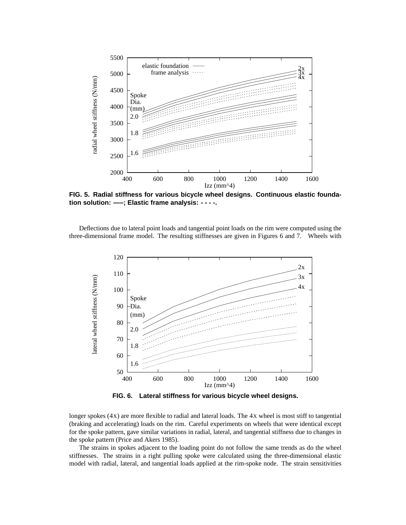

**FIG. 5. Radial stiffness for various bicycle wheel designs. Continuous elastic foundation solution: —–; Elastic frame analysis: - - - -.**

Deflections due to lateral point loads and tangential point loads on the rim were computed using the three-dimensional frame model. The resulting stiffnesses are given in Figures 6 and 7. Wheels with



**FIG. 6. Lateral stiffness for various bicycle wheel designs.**

longer spokes (4X) are more flexible to radial and lateral loads. The 4X wheel is most stiff to tangential (braking and accelerating) loads on the rim. Careful experiments on wheels that were identical except for the spoke pattern, gave similar variations in radial, lateral, and tangential stiffness due to changes in the spoke pattern (Price and Akers 1985).

The strains in spokes adjacent to the loading point do not follow the same trends as do the wheel stiffnesses. The strains in a right pulling spoke were calculated using the three-dimensional elastic model with radial, lateral, and tangential loads applied at the rim-spoke node. The strain sensitivities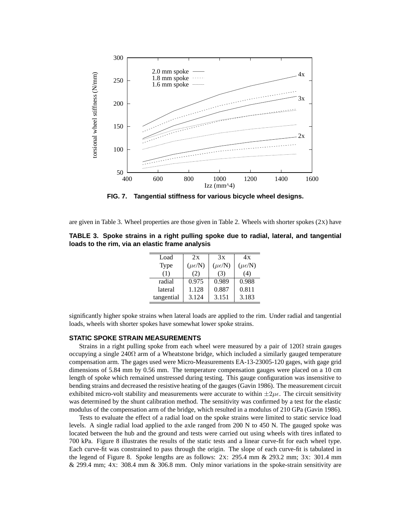

**FIG. 7. Tangential stiffness for various bicycle wheel designs.**

are given in Table 3. Wheel properties are those given in Table 2. Wheels with shorter spokes (2X) have

**TABLE 3. Spoke strains in a right pulling spoke due to radial, lateral, and tangential loads to the rim, via an elastic frame analysis**

| Load       | 2x                 | 3x                 | 4х                 |
|------------|--------------------|--------------------|--------------------|
| Type       | $(\mu \epsilon/N)$ | $(\mu \epsilon/N)$ | $(\mu \epsilon/N)$ |
| (1)        | (2)                | (3)                | (4)                |
| radial     | 0.975              | 0.989              | 0.988              |
| lateral    | 1.128              | 0.887              | 0.811              |
| tangential | 3.124              | 3.151              | 3.183              |

significantly higher spoke strains when lateral loads are applied to the rim. Under radial and tangential loads, wheels with shorter spokes have somewhat lower spoke strains.

## **STATIC SPOKE STRAIN MEASUREMENTS**

Strains in a right pulling spoke from each wheel were measured by a pair of 120Ω strain gauges occupying a single 240 $\Omega$  arm of a Wheatstone bridge, which included a similarly gauged temperature compensation arm. The gages used were Micro-Measurements EA-13-23005-120 gages, with gage grid dimensions of 5.84 mm by 0.56 mm. The temperature compensation gauges were placed on a 10 cm length of spoke which remained unstressed during testing. This gauge configuration was insensitive to bending strains and decreased the resistive heating of the gauges (Gavin 1986). The measurement circuit exhibited micro-volt stability and measurements were accurate to within  $\pm 2\mu\epsilon$ . The circuit sensitivity was determined by the shunt calibration method. The sensitivity was confirmed by a test for the elastic modulus of the compensation arm of the bridge, which resulted in a modulus of 210 GPa (Gavin 1986).

Tests to evaluate the effect of a radial load on the spoke strains were limited to static service load levels. A single radial load applied to the axle ranged from 200 N to 450 N. The gauged spoke was located between the hub and the ground and tests were carried out using wheels with tires inflated to 700 kPa. Figure 8 illustrates the results of the static tests and a linear curve-fit for each wheel type. Each curve-fit was constrained to pass through the origin. The slope of each curve-fit is tabulated in the legend of Figure 8. Spoke lengths are as follows: 2X: 295.4 mm & 293.2 mm; 3X: 301.4 mm  $\&$  299.4 mm; 4x: 308.4 mm  $\&$  306.8 mm. Only minor variations in the spoke-strain sensitivity are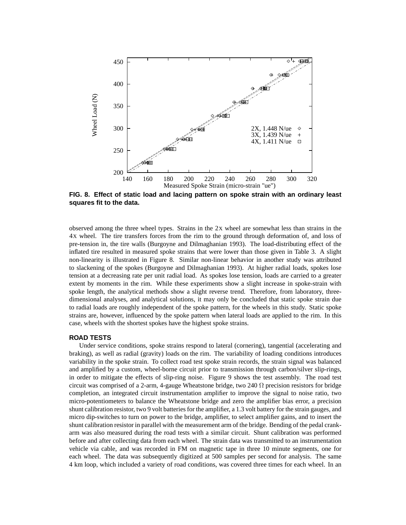

**FIG. 8. Effect of static load and lacing pattern on spoke strain with an ordinary least squares fit to the data.**

observed among the three wheel types. Strains in the 2X wheel are somewhat less than strains in the 4X wheel. The tire transfers forces from the rim to the ground through deformation of, and loss of pre-tension in, the tire walls (Burgoyne and Dilmaghanian 1993). The load-distributing effect of the inflated tire resulted in measured spoke strains that were lower than those given in Table 3. A slight non-linearity is illustrated in Figure 8. Similar non-linear behavior in another study was attributed to slackening of the spokes (Burgoyne and Dilmaghanian 1993). At higher radial loads, spokes lose tension at a decreasing rate per unit radial load. As spokes lose tension, loads are carried to a greater extent by moments in the rim. While these experiments show a slight increase in spoke-strain with spoke length, the analytical methods show a slight reverse trend. Therefore, from laboratory, threedimensional analyses, and analytical solutions, it may only be concluded that static spoke strain due to radial loads are roughly independent of the spoke pattern, for the wheels in this study. Static spoke strains are, however, influenced by the spoke pattern when lateral loads are applied to the rim. In this case, wheels with the shortest spokes have the highest spoke strains.

#### **ROAD TESTS**

Under service conditions, spoke strains respond to lateral (cornering), tangential (accelerating and braking), as well as radial (gravity) loads on the rim. The variability of loading conditions introduces variability in the spoke strain. To collect road test spoke strain records, the strain signal was balanced and amplified by a custom, wheel-borne circuit prior to transmission through carbon/silver slip-rings, in order to mitigate the effects of slip-ring noise. Figure 9 shows the test assembly. The road test circuit was comprised of a 2-arm, 4-gauge Wheatstone bridge, two 240  $\Omega$  precision resistors for bridge completion, an integrated circuit instrumentation amplifier to improve the signal to noise ratio, two micro-potentiometers to balance the Wheatstone bridge and zero the amplifier bias error, a precision shunt calibration resistor, two 9 volt batteries for the amplifier, a 1.3 volt battery for the strain gauges, and micro dip-switches to turn on power to the bridge, amplifier, to select amplifier gains, and to insert the shunt calibration resistor in parallel with the measurement arm of the bridge. Bending of the pedal crankarm was also measured during the road tests with a similar circuit. Shunt calibration was performed before and after collecting data from each wheel. The strain data was transmitted to an instrumentation vehicle via cable, and was recorded in FM on magnetic tape in three 10 minute segments, one for each wheel. The data was subsequently digitized at 500 samples per second for analysis. The same 4 km loop, which included a variety of road conditions, was covered three times for each wheel. In an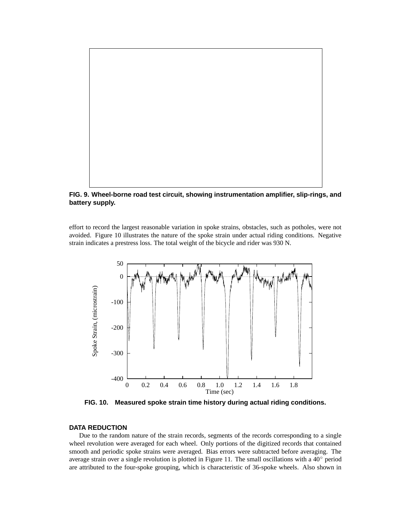

**FIG. 9. Wheel-borne road test circuit, showing instrumentation amplifier, slip-rings, and battery supply.**

effort to record the largest reasonable variation in spoke strains, obstacles, such as potholes, were not avoided. Figure 10 illustrates the nature of the spoke strain under actual riding conditions. Negative strain indicates a prestress loss. The total weight of the bicycle and rider was 930 N.



**FIG. 10. Measured spoke strain time history during actual riding conditions.**

## **DATA REDUCTION**

Due to the random nature of the strain records, segments of the records corresponding to a single wheel revolution were averaged for each wheel. Only portions of the digitized records that contained smooth and periodic spoke strains were averaged. Bias errors were subtracted before averaging. The average strain over a single revolution is plotted in Figure 11. The small oscillations with a 40° period are attributed to the four-spoke grouping, which is characteristic of 36-spoke wheels. Also shown in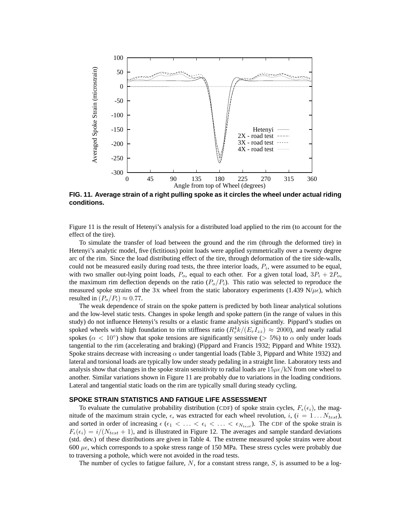

**FIG. 11. Average strain of a right pulling spoke as it circles the wheel under actual riding conditions.**

Figure 11 is the result of Hetenyi's analysis for a distributed load applied to the rim (to account for the effect of the tire).

To simulate the transfer of load between the ground and the rim (through the deformed tire) in Hetenyi's analytic model, five (fictitious) point loads were applied symmetrically over a twenty degree arc of the rim. Since the load distributing effect of the tire, through deformation of the tire side-walls, could not be measured easily during road tests, the three interior loads,  $P_i$ , were assumed to be equal, with two smaller out-lying point loads,  $P_o$ , equal to each other. For a given total load,  $3P_i + 2P_o$ , the maximum rim deflection depends on the ratio  $(P_o/P_i)$ . This ratio was selected to reproduce the measured spoke strains of the 3x wheel from the static laboratory experiments (1.439 N/ $\mu \epsilon$ ), which resulted in  $(P_o/P_i) \approx 0.77$ .

The weak dependence of strain on the spoke pattern is predicted by both linear analytical solutions and the low-level static tests. Changes in spoke length and spoke pattern (in the range of values in this study) do not influence Hetenyi's results or a elastic frame analysis significantly. Pippard's studies on spoked wheels with high foundation to rim stiffness ratio  $(R_r^4 k/(E_r I_{zz}) \approx 2000)$ , and nearly radial spokes ( $\alpha$  < 10°) show that spoke tensions are significantly sensitive ( $>$  5%) to  $\alpha$  only under loads tangential to the rim (accelerating and braking) (Pippard and Francis 1932; Pippard and White 1932). Spoke strains decrease with increasing  $\alpha$  under tangential loads (Table 3, Pippard and White 1932) and lateral and torsional loads are typically low under steady pedaling in a straight line. Laboratory tests and analysis show that changes in the spoke strain sensitivity to radial loads are  $15\mu\epsilon/kN$  from one wheel to another. Similar variations shown in Figure 11 are probably due to variations in the loading conditions. Lateral and tangential static loads on the rim are typically small during steady cycling.

#### **SPOKE STRAIN STATISTICS AND FATIGUE LIFE ASSESSMENT**

To evaluate the cumulative probability distribution (CDF) of spoke strain cycles,  $F_{\epsilon}(\epsilon_{i})$ , the magnitude of the maximum strain cycle,  $\epsilon$ , was extracted for each wheel revolution,  $i$ ,  $(i = 1 \dots N_{test})$ , and sorted in order of increasing  $\epsilon$  ( $\epsilon_1$  < ... <  $\epsilon_i$  < ... <  $\epsilon_{N_{test}}$ ). The CDF of the spoke strain is  $F_{\epsilon}(\epsilon_i) = i/(N_{test} + 1)$ , and is illustrated in Figure 12. The averages and sample standard deviations (std. dev.) of these distributions are given in Table 4. The extreme measured spoke strains were about 600  $\mu\epsilon$ , which corresponds to a spoke stress range of 150 MPa. These stress cycles were probably due to traversing a pothole, which were not avoided in the road tests.

The number of cycles to fatigue failure,  $N$ , for a constant stress range,  $S$ , is assumed to be a log-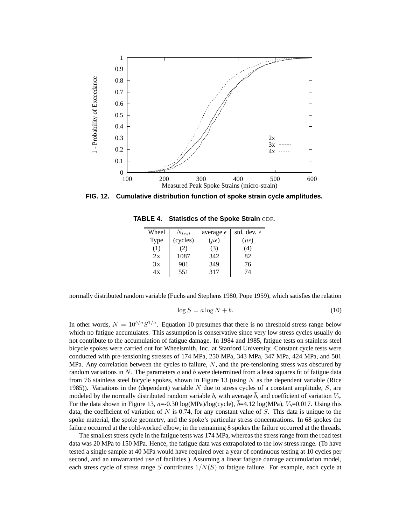

**FIG. 12. Cumulative distribution function of spoke strain cycle amplitudes.**

| $N_{test}$ | average $\epsilon$ | std. dev. $\epsilon$ |
|------------|--------------------|----------------------|
| (cycles)   | $(\mu \epsilon)$   | $(\mu \epsilon)$     |
| (2)        | (3)                | (4)                  |
| 1087       | 342                | 82                   |
| 901        | 349                | 76                   |
| 551        | 317                | 74                   |
|            |                    |                      |

**TABLE 4. Statistics of the Spoke Strain** CDF**.**

normally distributed random variable (Fuchs and Stephens 1980, Pope 1959), which satisfies the relation

$$
\log S = a \log N + b. \tag{10}
$$

In other words,  $N = 10^{b/a} S^{1/a}$ . Equation 10 presumes that there is no threshold stress range below which no fatigue accumulates. This assumption is conservative since very low stress cycles usually do not contribute to the accumulation of fatigue damage. In 1984 and 1985, fatigue tests on stainless steel bicycle spokes were carried out for Wheelsmith, Inc. at Stanford University. Constant cycle tests were conducted with pre-tensioning stresses of 174 MPa, 250 MPa, 343 MPa, 347 MPa, 424 MPa, and 501  $MPa$ . Any correlation between the cycles to failure,  $N$ , and the pre-tensioning stress was obscured by random variations in N. The parameters  $a$  and  $b$  were determined from a least squares fit of fatigue data from 76 stainless steel bicycle spokes, shown in Figure 13 (using  $N$  as the dependent variable (Rice 1985)). Variations in the (dependent) variable N due to stress cycles of a constant amplitude,  $S$ , are modeled by the normally distributed random variable b, with average  $\bar{b}$ , and coefficient of variation  $V_b$ . For the data shown in Figure 13,  $a=-0.30 \log(MPa)/log(cycle)$ ,  $b=4.12 \log(MPa)$ ,  $V_b=0.017$ . Using this data, the coefficient of variation of  $N$  is 0.74, for any constant value of  $S$ . This data is unique to the spoke material, the spoke geometry, and the spoke's particular stress concentrations. In 68 spokes the failure occurred at the cold-worked elbow; in the remaining 8 spokes the failure occurred at the threads.

The smallest stress cycle in the fatigue tests was 174 MPa, whereas the stress range from the road test data was 20 MPa to 150 MPa. Hence, the fatigue data was extrapolated to the low stress range. (To have tested a single sample at 40 MPa would have required over a year of continuous testing at 10 cycles per second, and an unwarranted use of facilities.) Assuming a linear fatigue damage accumulation model, each stress cycle of stress range S contributes  $1/N(S)$  to fatigue failure. For example, each cycle at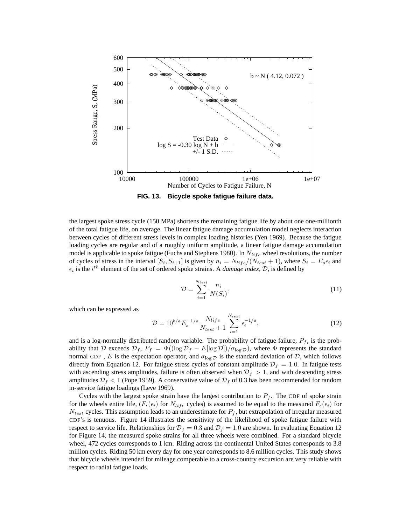

the largest spoke stress cycle (150 MPa) shortens the remaining fatigue life by about one one-millionth of the total fatigue life, on average. The linear fatigue damage accumulation model neglects interaction between cycles of different stress levels in complex loading histories (Yen 1969). Because the fatigue loading cycles are regular and of a roughly uniform amplitude, a linear fatigue damage accumulation model is applicable to spoke fatigue (Fuchs and Stephens 1980). In  $N_{life}$  wheel revolutions, the number of cycles of stress in the interval  $[S_i, S_{i+1}]$  is given by  $n_i = N_{life}/(N_{test} + 1)$ , where  $S_i = E_s \epsilon_i$  and  $\epsilon_i$  is the  $i^{th}$  element of the set of ordered spoke strains. A *damage index*, D, is defined by

$$
\mathcal{D} = \sum_{i=1}^{N_{test}} \frac{n_i}{N(S_i)},\tag{11}
$$

which can be expressed as

$$
\mathcal{D} = 10^{b/a} E_s^{-1/a} \frac{N_{life}}{N_{test} + 1} \sum_{i=1}^{N_{test}} \epsilon_i^{-1/a},\tag{12}
$$

and is a log-normally distributed random variable. The probability of fatigue failure,  $P_f$ , is the probability that D exceeds  $\mathcal{D}_f$ ,  $P_f = \Phi((\log \mathcal{D}_f - E[\log \mathcal{D}])/\sigma_{\log \mathcal{D}})$ , where  $\Phi$  represents the standard normal CDF, E is the expectation operator, and  $\sigma_{\log D}$  is the standard deviation of D, which follows directly from Equation 12. For fatigue stress cycles of constant amplitude  $\mathcal{D}_f = 1.0$ . In fatigue tests with ascending stress amplitudes, failure is often observed when  $\mathcal{D}_f > 1$ , and with descending stress amplitudes  $\mathcal{D}_f$  < 1 (Pope 1959). A conservative value of  $\mathcal{D}_f$  of 0.3 has been recommended for random in-service fatigue loadings (Leve 1969).

Cycles with the largest spoke strain have the largest contribution to  $P_f$ . The CDF of spoke strain for the wheels entire life,  $(F_{\epsilon}(\epsilon_i)$  for  $N_{life}$  cycles) is assumed to be equal to the measured  $F_{\epsilon}(\epsilon_i)$  for  $N_{test}$  cycles. This assumption leads to an underestimate for  $P_f$ , but extrapolation of irregular measured CDF's is tenuous. Figure 14 illustrates the sensitivity of the likelihood of spoke fatigue failure with respect to service life. Relationships for  $\mathcal{D}_f = 0.3$  and  $\mathcal{D}_f = 1.0$  are shown. In evaluating Equation 12 for Figure 14, the measured spoke strains for all three wheels were combined. For a standard bicycle wheel, 472 cycles corresponds to 1 km. Riding across the continental United States corresponds to 3.8 million cycles. Riding 50 km every day for one year corresponds to 8.6 million cycles. This study shows that bicycle wheels intended for mileage comperable to a cross-country excursion are very reliable with respect to radial fatigue loads.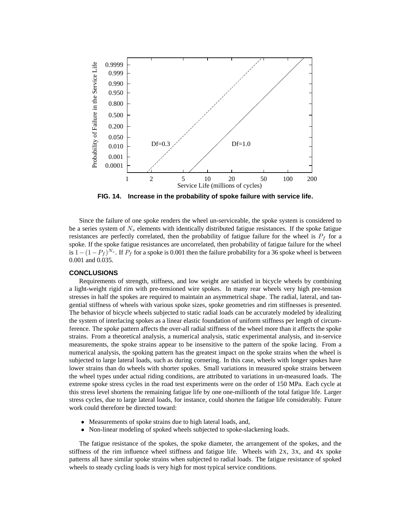

**FIG. 14. Increase in the probability of spoke failure with service life.**

Since the failure of one spoke renders the wheel un-serviceable, the spoke system is considered to be a series system of  $N<sub>s</sub>$  elements with identically distributed fatigue resistances. If the spoke fatigue resistances are perfectly correlated, then the probability of fatigue failure for the wheel is  $P_f$  for a spoke. If the spoke fatigue resistances are uncorrelated, then probability of fatigue failure for the wheel is  $1-(1-P_f)^{N_s}$ . If  $P_f$  for a spoke is 0.001 then the failure probability for a 36 spoke wheel is between 0.001 and 0.035.

## **CONCLUSIONS**

Requirements of strength, stiffness, and low weight are satisfied in bicycle wheels by combining a light-weight rigid rim with pre-tensioned wire spokes. In many rear wheels very high pre-tension stresses in half the spokes are required to maintain an asymmetrical shape. The radial, lateral, and tangential stiffness of wheels with various spoke sizes, spoke geometries and rim stiffnesses is presented. The behavior of bicycle wheels subjected to static radial loads can be accurately modeled by idealizing the system of interlacing spokes as a linear elastic foundation of uniform stiffness per length of circumference. The spoke pattern affects the over-all radial stiffness of the wheel more than it affects the spoke strains. From a theoretical analysis, a numerical analysis, static experimental analysis, and in-service measurements, the spoke strains appear to be insensitive to the pattern of the spoke lacing. From a numerical analysis, the spoking pattern has the greatest impact on the spoke strains when the wheel is subjected to large lateral loads, such as during cornering. In this case, wheels with longer spokes have lower strains than do wheels with shorter spokes. Small variations in measured spoke strains between the wheel types under actual riding conditions, are attributed to variations in un-measured loads. The extreme spoke stress cycles in the road test experiments were on the order of 150 MPa. Each cycle at this stress level shortens the remaining fatigue life by one one-millionth of the total fatigue life. Larger stress cycles, due to large lateral loads, for instance, could shorten the fatigue life considerably. Future work could therefore be directed toward:

- Measurements of spoke strains due to high lateral loads, and,
- Non-linear modeling of spoked wheels subjected to spoke-slackening loads.

The fatigue resistance of the spokes, the spoke diameter, the arrangement of the spokes, and the stiffness of the rim influence wheel stiffness and fatigue life. Wheels with 2X, 3X, and 4X spoke patterns all have similar spoke strains when subjected to radial loads. The fatigue resistance of spoked wheels to steady cycling loads is very high for most typical service conditions.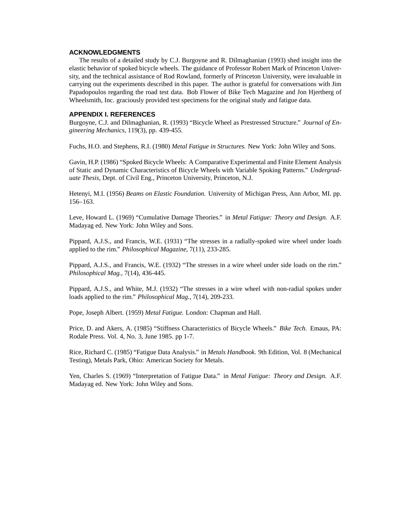## **ACKNOWLEDGMENTS**

The results of a detailed study by C.J. Burgoyne and R. Dilmaghanian (1993) shed insight into the elastic behavior of spoked bicycle wheels. The guidance of Professor Robert Mark of Princeton University, and the technical assistance of Rod Rowland, formerly of Princeton University, were invaluable in carrying out the experiments described in this paper. The author is grateful for conversations with Jim Papadopoulos regarding the road test data. Bob Flower of Bike Tech Magazine and Jon Hjertberg of Wheelsmith, Inc. graciously provided test specimens for the original study and fatigue data.

## **APPENDIX I. REFERENCES**

Burgoyne, C.J. and Dilmaghanian, R. (1993) "Bicycle Wheel as Prestressed Structure." *Journal of Engineering Mechanics,* 119(3), pp. 439-455.

Fuchs, H.O. and Stephens, R.I. (1980) *Metal Fatigue in Structures.* New York: John Wiley and Sons.

Gavin, H.P. (1986) "Spoked Bicycle Wheels: A Comparative Experimental and Finite Element Analysis of Static and Dynamic Characteristics of Bicycle Wheels with Variable Spoking Patterns." *Undergraduate Thesis*, Dept. of Civil Eng., Princeton University, Princeton, N.J.

Hetenyi, M.I. (1956) *Beams on Elastic Foundation.* University of Michigan Press, Ann Arbor, MI. pp. 156–163.

Leve, Howard L. (1969) "Cumulative Damage Theories." in *Metal Fatigue: Theory and Design.* A.F. Madayag ed. New York: John Wiley and Sons.

Pippard, A.J.S., and Francis, W.E. (1931) "The stresses in a radially-spoked wire wheel under loads applied to the rim." *Philosophical Magazine,* 7(11), 233-285.

Pippard, A.J.S., and Francis, W.E. (1932) "The stresses in a wire wheel under side loads on the rim." *Philosophical Mag.,* 7(14), 436-445.

Pippard, A.J.S., and White, M.J. (1932) "The stresses in a wire wheel with non-radial spokes under loads applied to the rim." *Philosophical Mag.,* 7(14), 209-233.

Pope, Joseph Albert. (1959) *Metal Fatigue.* London: Chapman and Hall.

Price, D. and Akers, A. (1985) "Stiffness Characteristics of Bicycle Wheels." *Bike Tech.* Emaus, PA: Rodale Press. Vol. 4, No. 3, June 1985. pp 1-7.

Rice, Richard C. (1985) "Fatigue Data Analysis." in *Metals Handbook.* 9th Edition, Vol. 8 (Mechanical Testing), Metals Park, Ohio: American Society for Metals.

Yen, Charles S. (1969) "Interpretation of Fatigue Data." in *Metal Fatigue: Theory and Design.* A.F. Madayag ed. New York: John Wiley and Sons.